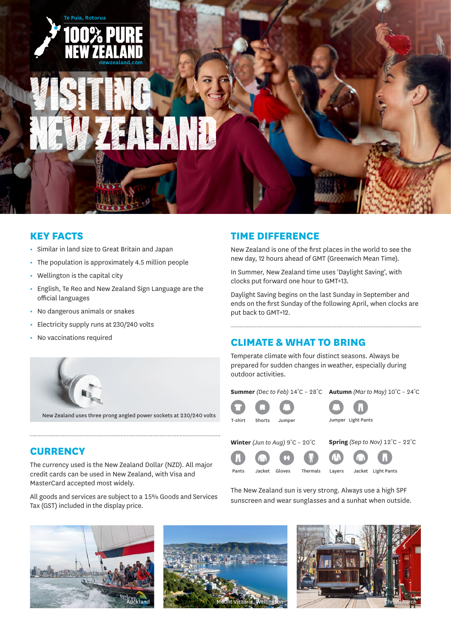

### **KEY FACTS**

- **•** Similar in land size to Great Britain and Japan
- **•** The population is approximately 4.5 million people
- **•** Wellington is the capital city
- **•** English, Te Reo and New Zealand Sign Language are the official languages
- **•** No dangerous animals or snakes
- **•** Electricity supply runs at 230/240 volts
- **•** No vaccinations required



New Zealand uses three prong angled power sockets at 230/240 volts

## **CURRENCY**

The currency used is the New Zealand Dollar (NZD). All major credit cards can be used in New Zealand, with Visa and MasterCard accepted most widely.

All goods and services are subject to a 15% Goods and Services Tax (GST) included in the display price.



New Zealand is one of the first places in the world to see the new day, 12 hours ahead of GMT (Greenwich Mean Time).

In Summer, New Zealand time uses 'Daylight Saving', with clocks put forward one hour to GMT+13.

Daylight Saving begins on the last Sunday in September and ends on the first Sunday of the following April, when clocks are put back to GMT+12.

# **CLIMATE & WHAT TO BRING**

Temperate climate with four distinct seasons. Always be prepared for sudden changes in weather, especially during outdoor activities.

| <b>Summer</b> (Dec to Feb) $14^{\circ}$ C - 28 <sup>°</sup> C <b>Autumn</b> (Mar to May) $10^{\circ}$ C - 24 <sup>°</sup> C |  |  |                     |
|-----------------------------------------------------------------------------------------------------------------------------|--|--|---------------------|
| $\mathbf \Omega$ $\mathbf \Omega$ $\mathbf \Omega$                                                                          |  |  | $\bullet$ $\bullet$ |

**Winter** *(Jun to Aug)* 9˚C – 20˚C

**Spring** *(Sep to Nov)* 12˚C – 22˚C

Pants Jacket Gloves

T-shirt Shorts Jumper



Jumper Light Pants

The New Zealand sun is very strong. Always use a high SPF sunscreen and wear sunglasses and a sunhat when outside.